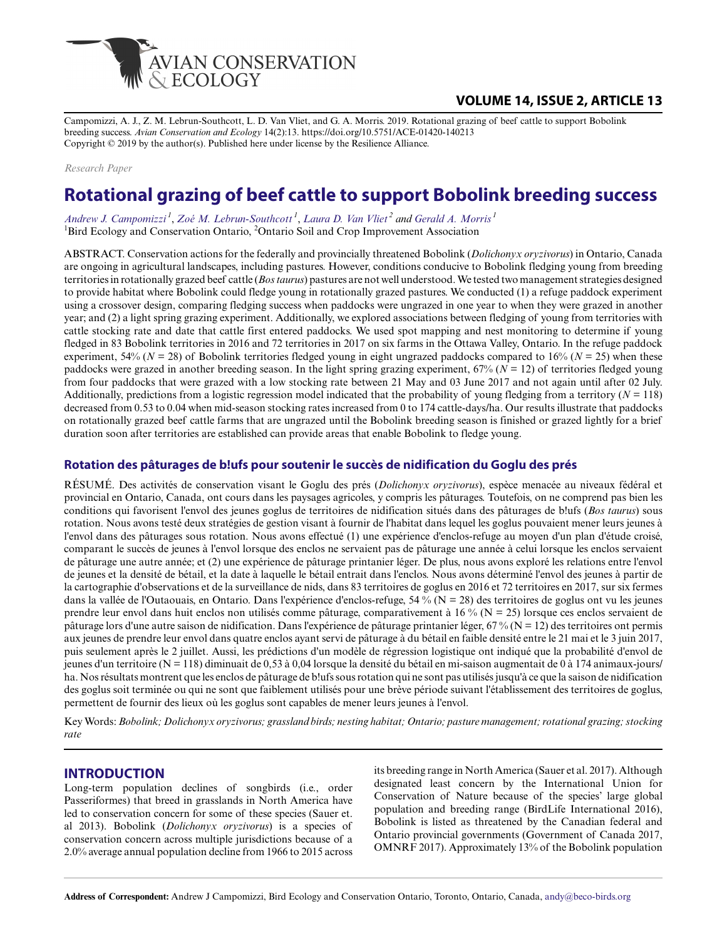

# **VOLUME 14, ISSUE 2, ARTICLE 13**

Campomizzi, A. J., Z. M. Lebrun-Southcott, L. D. Van Vliet, and G. A. Morris. 2019. Rotational grazing of beef cattle to support Bobolink breeding success. *Avian Conservation and Ecology* 14(2):13. https://doi.org/10.5751/ACE-01420-140213 Copyright © 2019 by the author(s). Published here under license by the Resilience Alliance.

*Research Paper*

# **Rotational grazing of beef cattle to support Bobolink breeding success**

*[Andrew J. Campomizzi](mailto:andy@beco-birds.org)<sup>1</sup>* , *[Zoé M. Lebrun-Southcott](mailto:zoe@beco-birds.org)<sup>1</sup>* , *[Laura D. Van Vliet](mailto:lvanvliet@uvic.ca)<sup>2</sup> and [Gerald A. Morris](mailto:gmorris.wildlifetech@gmail.com)<sup>1</sup>* <sup>1</sup>Bird Ecology and Conservation Ontario, <sup>2</sup>Ontario Soil and Crop Improvement Association

ABSTRACT. Conservation actions for the federally and provincially threatened Bobolink (*Dolichonyx oryzivorus*) in Ontario, Canada are ongoing in agricultural landscapes, including pastures. However, conditions conducive to Bobolink fledging young from breeding territories in rotationally grazed beef cattle (*Bos taurus*) pastures are not well understood. We tested two management strategies designed to provide habitat where Bobolink could fledge young in rotationally grazed pastures. We conducted (1) a refuge paddock experiment using a crossover design, comparing fledging success when paddocks were ungrazed in one year to when they were grazed in another year; and (2) a light spring grazing experiment. Additionally, we explored associations between fledging of young from territories with cattle stocking rate and date that cattle first entered paddocks. We used spot mapping and nest monitoring to determine if young fledged in 83 Bobolink territories in 2016 and 72 territories in 2017 on six farms in the Ottawa Valley, Ontario. In the refuge paddock experiment, 54% ( $N = 28$ ) of Bobolink territories fledged young in eight ungrazed paddocks compared to 16% ( $N = 25$ ) when these paddocks were grazed in another breeding season. In the light spring grazing experiment,  $67\%$  ( $N = 12$ ) of territories fledged young from four paddocks that were grazed with a low stocking rate between 21 May and 03 June 2017 and not again until after 02 July. Additionally, predictions from a logistic regression model indicated that the probability of young fledging from a territory  $(N = 118)$ decreased from 0.53 to 0.04 when mid-season stocking rates increased from 0 to 174 cattle-days/ha. Our results illustrate that paddocks on rotationally grazed beef cattle farms that are ungrazed until the Bobolink breeding season is finished or grazed lightly for a brief duration soon after territories are established can provide areas that enable Bobolink to fledge young.

# **Rotation des pâturages de b!ufs pour soutenir le succès de nidification du Goglu des prés**

RÉSUMÉ. Des activités de conservation visant le Goglu des prés (*Dolichonyx oryzivorus*), espèce menacée au niveaux fédéral et provincial en Ontario, Canada, ont cours dans les paysages agricoles, y compris les pâturages. Toutefois, on ne comprend pas bien les conditions qui favorisent l'envol des jeunes goglus de territoires de nidification situés dans des pâturages de b!ufs (*Bos taurus*) sous rotation. Nous avons testé deux stratégies de gestion visant à fournir de l'habitat dans lequel les goglus pouvaient mener leurs jeunes à l'envol dans des pâturages sous rotation. Nous avons effectué (1) une expérience d'enclos-refuge au moyen d'un plan d'étude croisé, comparant le succès de jeunes à l'envol lorsque des enclos ne servaient pas de pâturage une année à celui lorsque les enclos servaient de pâturage une autre année; et (2) une expérience de pâturage printanier léger. De plus, nous avons exploré les relations entre l'envol de jeunes et la densité de bétail, et la date à laquelle le bétail entrait dans l'enclos. Nous avons déterminé l'envol des jeunes à partir de la cartographie d'observations et de la surveillance de nids, dans 83 territoires de goglus en 2016 et 72 territoires en 2017, sur six fermes dans la vallée de l'Outaouais, en Ontario. Dans l'expérience d'enclos-refuge, 54 % (N = 28) des territoires de goglus ont vu les jeunes prendre leur envol dans huit enclos non utilisés comme pâturage, comparativement à 16 % (N = 25) lorsque ces enclos servaient de pâturage lors d'une autre saison de nidification. Dans l'expérience de pâturage printanier léger, 67 % ( $N = 12$ ) des territoires ont permis aux jeunes de prendre leur envol dans quatre enclos ayant servi de pâturage à du bétail en faible densité entre le 21 mai et le 3 juin 2017, puis seulement après le 2 juillet. Aussi, les prédictions d'un modèle de régression logistique ont indiqué que la probabilité d'envol de jeunes d'un territoire (N = 118) diminuait de 0,53 à 0,04 lorsque la densité du bétail en mi-saison augmentait de 0 à 174 animaux-jours/ ha. Nos résultats montrent que les enclos de pâturage de b!ufs sous rotation qui ne sont pas utilisés jusqu'à ce que la saison de nidification des goglus soit terminée ou qui ne sont que faiblement utilisés pour une brève période suivant l'établissement des territoires de goglus, permettent de fournir des lieux où les goglus sont capables de mener leurs jeunes à l'envol.

Key Words: *Bobolink; Dolichonyx oryzivorus; grassland birds; nesting habitat; Ontario; pasture management; rotational grazing; stocking rate*

# **INTRODUCTION**

Long-term population declines of songbirds (i.e., order Passeriformes) that breed in grasslands in North America have led to conservation concern for some of these species (Sauer et. al 2013). Bobolink (*Dolichonyx oryzivorus*) is a species of conservation concern across multiple jurisdictions because of a 2.0% average annual population decline from 1966 to 2015 across

its breeding range in North America (Sauer et al. 2017). Although designated least concern by the International Union for Conservation of Nature because of the species' large global population and breeding range (BirdLife International 2016), Bobolink is listed as threatened by the Canadian federal and Ontario provincial governments (Government of Canada 2017, OMNRF 2017). Approximately 13% of the Bobolink population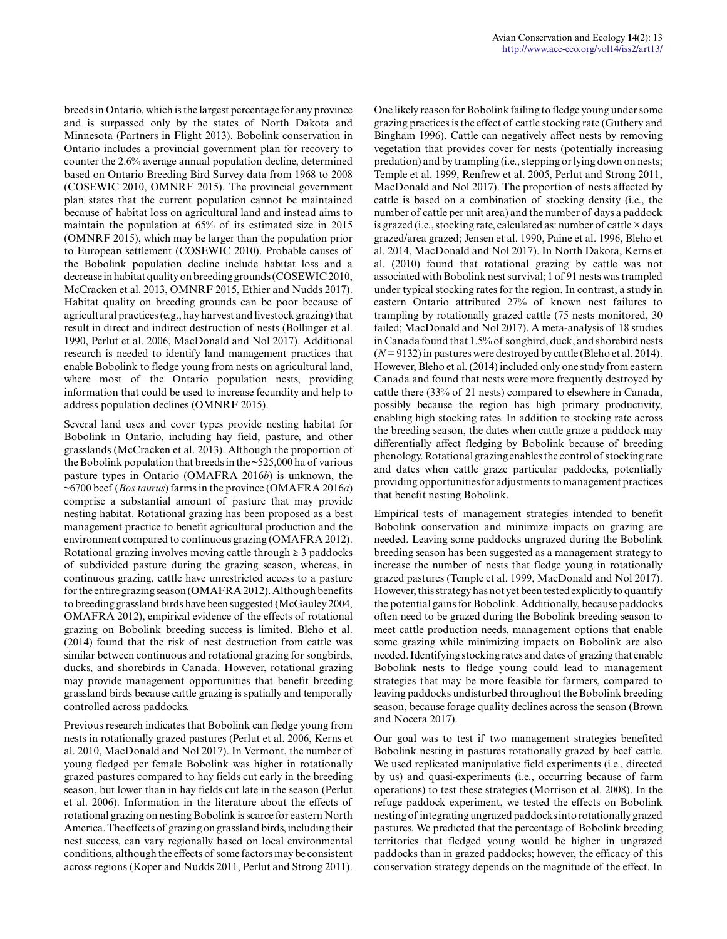breeds in Ontario, which is the largest percentage for any province and is surpassed only by the states of North Dakota and Minnesota (Partners in Flight 2013). Bobolink conservation in Ontario includes a provincial government plan for recovery to counter the 2.6% average annual population decline, determined based on Ontario Breeding Bird Survey data from 1968 to 2008 (COSEWIC 2010, OMNRF 2015). The provincial government plan states that the current population cannot be maintained because of habitat loss on agricultural land and instead aims to maintain the population at 65% of its estimated size in 2015 (OMNRF 2015), which may be larger than the population prior to European settlement (COSEWIC 2010). Probable causes of the Bobolink population decline include habitat loss and a decrease in habitat quality on breeding grounds (COSEWIC 2010, McCracken et al. 2013, OMNRF 2015, Ethier and Nudds 2017). Habitat quality on breeding grounds can be poor because of agricultural practices (e.g., hay harvest and livestock grazing) that result in direct and indirect destruction of nests (Bollinger et al. 1990, Perlut et al. 2006, MacDonald and Nol 2017). Additional research is needed to identify land management practices that enable Bobolink to fledge young from nests on agricultural land, where most of the Ontario population nests, providing information that could be used to increase fecundity and help to address population declines (OMNRF 2015).

Several land uses and cover types provide nesting habitat for Bobolink in Ontario, including hay field, pasture, and other grasslands (McCracken et al. 2013). Although the proportion of the Bobolink population that breeds in the  $\approx$  525,000 ha of various pasture types in Ontario (OMAFRA 2016*b*) is unknown, the ~6700 beef (*Bos taurus*) farms in the province (OMAFRA 2016*a*) comprise a substantial amount of pasture that may provide nesting habitat. Rotational grazing has been proposed as a best management practice to benefit agricultural production and the environment compared to continuous grazing (OMAFRA 2012). Rotational grazing involves moving cattle through  $\geq$  3 paddocks of subdivided pasture during the grazing season, whereas, in continuous grazing, cattle have unrestricted access to a pasture for the entire grazing season (OMAFRA 2012). Although benefits to breeding grassland birds have been suggested (McGauley 2004, OMAFRA 2012), empirical evidence of the effects of rotational grazing on Bobolink breeding success is limited. Bleho et al. (2014) found that the risk of nest destruction from cattle was similar between continuous and rotational grazing for songbirds, ducks, and shorebirds in Canada. However, rotational grazing may provide management opportunities that benefit breeding grassland birds because cattle grazing is spatially and temporally controlled across paddocks.

Previous research indicates that Bobolink can fledge young from nests in rotationally grazed pastures (Perlut et al. 2006, Kerns et al. 2010, MacDonald and Nol 2017). In Vermont, the number of young fledged per female Bobolink was higher in rotationally grazed pastures compared to hay fields cut early in the breeding season, but lower than in hay fields cut late in the season (Perlut et al. 2006). Information in the literature about the effects of rotational grazing on nesting Bobolink is scarce for eastern North America. The effects of grazing on grassland birds, including their nest success, can vary regionally based on local environmental conditions, although the effects of some factors may be consistent across regions (Koper and Nudds 2011, Perlut and Strong 2011).

One likely reason for Bobolink failing to fledge young under some grazing practices is the effect of cattle stocking rate (Guthery and Bingham 1996). Cattle can negatively affect nests by removing vegetation that provides cover for nests (potentially increasing predation) and by trampling (i.e., stepping or lying down on nests; Temple et al. 1999, Renfrew et al. 2005, Perlut and Strong 2011, MacDonald and Nol 2017). The proportion of nests affected by cattle is based on a combination of stocking density (i.e., the number of cattle per unit area) and the number of days a paddock is grazed (i.e., stocking rate, calculated as: number of cattle  $\times$  days grazed/area grazed; Jensen et al. 1990, Paine et al. 1996, Bleho et al. 2014, MacDonald and Nol 2017). In North Dakota, Kerns et al. (2010) found that rotational grazing by cattle was not associated with Bobolink nest survival; 1 of 91 nests was trampled under typical stocking rates for the region. In contrast, a study in eastern Ontario attributed 27% of known nest failures to trampling by rotationally grazed cattle (75 nests monitored, 30 failed; MacDonald and Nol 2017). A meta-analysis of 18 studies in Canada found that 1.5% of songbird, duck, and shorebird nests  $(N = 9132)$  in pastures were destroyed by cattle (Bleho et al. 2014). However, Bleho et al. (2014) included only one study from eastern Canada and found that nests were more frequently destroyed by cattle there (33% of 21 nests) compared to elsewhere in Canada, possibly because the region has high primary productivity, enabling high stocking rates. In addition to stocking rate across the breeding season, the dates when cattle graze a paddock may differentially affect fledging by Bobolink because of breeding phenology. Rotational grazing enables the control of stocking rate and dates when cattle graze particular paddocks, potentially providing opportunities for adjustments to management practices that benefit nesting Bobolink.

Empirical tests of management strategies intended to benefit Bobolink conservation and minimize impacts on grazing are needed. Leaving some paddocks ungrazed during the Bobolink breeding season has been suggested as a management strategy to increase the number of nests that fledge young in rotationally grazed pastures (Temple et al. 1999, MacDonald and Nol 2017). However, this strategy has not yet been tested explicitly to quantify the potential gains for Bobolink. Additionally, because paddocks often need to be grazed during the Bobolink breeding season to meet cattle production needs, management options that enable some grazing while minimizing impacts on Bobolink are also needed. Identifying stocking rates and dates of grazing that enable Bobolink nests to fledge young could lead to management strategies that may be more feasible for farmers, compared to leaving paddocks undisturbed throughout the Bobolink breeding season, because forage quality declines across the season (Brown and Nocera 2017).

Our goal was to test if two management strategies benefited Bobolink nesting in pastures rotationally grazed by beef cattle. We used replicated manipulative field experiments (i.e., directed by us) and quasi-experiments (i.e., occurring because of farm operations) to test these strategies (Morrison et al. 2008). In the refuge paddock experiment, we tested the effects on Bobolink nesting of integrating ungrazed paddocks into rotationally grazed pastures. We predicted that the percentage of Bobolink breeding territories that fledged young would be higher in ungrazed paddocks than in grazed paddocks; however, the efficacy of this conservation strategy depends on the magnitude of the effect. In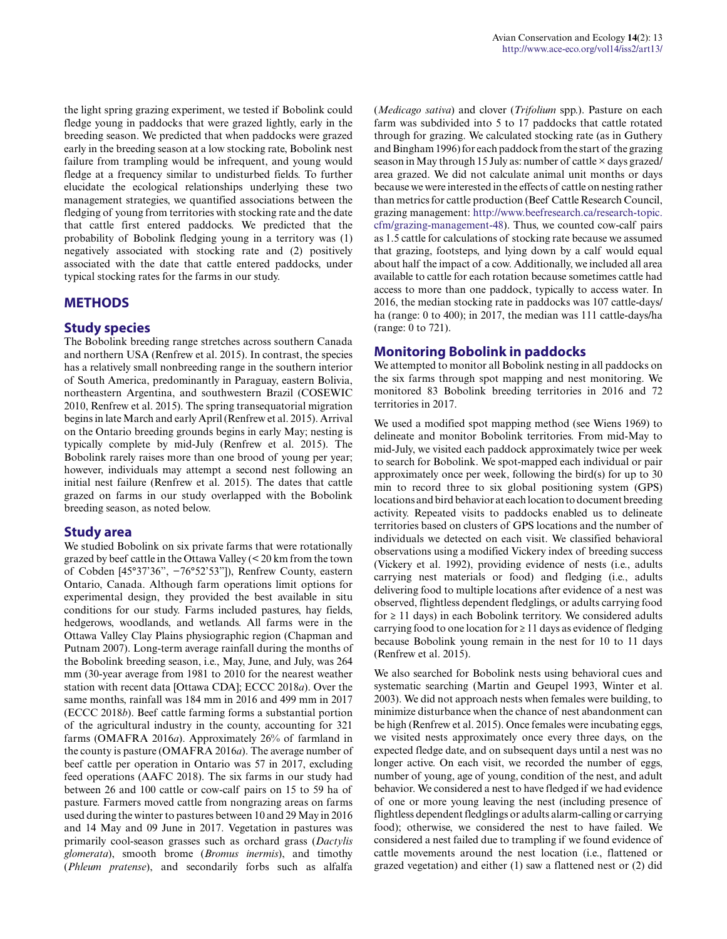the light spring grazing experiment, we tested if Bobolink could fledge young in paddocks that were grazed lightly, early in the breeding season. We predicted that when paddocks were grazed early in the breeding season at a low stocking rate, Bobolink nest failure from trampling would be infrequent, and young would fledge at a frequency similar to undisturbed fields. To further elucidate the ecological relationships underlying these two management strategies, we quantified associations between the fledging of young from territories with stocking rate and the date that cattle first entered paddocks. We predicted that the probability of Bobolink fledging young in a territory was (1) negatively associated with stocking rate and (2) positively associated with the date that cattle entered paddocks, under typical stocking rates for the farms in our study.

# **METHODS**

# **Study species**

The Bobolink breeding range stretches across southern Canada and northern USA (Renfrew et al. 2015). In contrast, the species has a relatively small nonbreeding range in the southern interior of South America, predominantly in Paraguay, eastern Bolivia, northeastern Argentina, and southwestern Brazil (COSEWIC 2010, Renfrew et al. 2015). The spring transequatorial migration begins in late March and early April (Renfrew et al. 2015). Arrival on the Ontario breeding grounds begins in early May; nesting is typically complete by mid-July (Renfrew et al. 2015). The Bobolink rarely raises more than one brood of young per year; however, individuals may attempt a second nest following an initial nest failure (Renfrew et al. 2015). The dates that cattle grazed on farms in our study overlapped with the Bobolink breeding season, as noted below.

# **Study area**

We studied Bobolink on six private farms that were rotationally grazed by beef cattle in the Ottawa Valley (< 20 km from the town of Cobden [45°37'36", −76°52'53"]), Renfrew County, eastern Ontario, Canada. Although farm operations limit options for experimental design, they provided the best available in situ conditions for our study. Farms included pastures, hay fields, hedgerows, woodlands, and wetlands. All farms were in the Ottawa Valley Clay Plains physiographic region (Chapman and Putnam 2007). Long-term average rainfall during the months of the Bobolink breeding season, i.e., May, June, and July, was 264 mm (30-year average from 1981 to 2010 for the nearest weather station with recent data [Ottawa CDA]; ECCC 2018*a*). Over the same months, rainfall was 184 mm in 2016 and 499 mm in 2017 (ECCC 2018*b*). Beef cattle farming forms a substantial portion of the agricultural industry in the county, accounting for 321 farms (OMAFRA 2016*a*). Approximately 26% of farmland in the county is pasture (OMAFRA 2016*a*). The average number of beef cattle per operation in Ontario was 57 in 2017, excluding feed operations (AAFC 2018). The six farms in our study had between 26 and 100 cattle or cow-calf pairs on 15 to 59 ha of pasture. Farmers moved cattle from nongrazing areas on farms used during the winter to pastures between 10 and 29 May in 2016 and 14 May and 09 June in 2017. Vegetation in pastures was primarily cool-season grasses such as orchard grass (*Dactylis glomerata*), smooth brome (*Bromus inermis*), and timothy (*Phleum pratense*), and secondarily forbs such as alfalfa

(*Medicago sativa*) and clover (*Trifolium* spp.). Pasture on each farm was subdivided into 5 to 17 paddocks that cattle rotated through for grazing. We calculated stocking rate (as in Guthery and Bingham 1996) for each paddock from the start of the grazing season in May through 15 July as: number of cattle  $\times$  days grazed/ area grazed. We did not calculate animal unit months or days because we were interested in the effects of cattle on nesting rather than metrics for cattle production (Beef Cattle Research Council, grazing management: [http://www.beefresearch.ca/research-topic.](http://www.beefresearch.ca/research-topic.cfm/grazing-management-48) [cfm/grazing-management-48](http://www.beefresearch.ca/research-topic.cfm/grazing-management-48)). Thus, we counted cow-calf pairs as 1.5 cattle for calculations of stocking rate because we assumed that grazing, footsteps, and lying down by a calf would equal about half the impact of a cow. Additionally, we included all area available to cattle for each rotation because sometimes cattle had access to more than one paddock, typically to access water. In 2016, the median stocking rate in paddocks was 107 cattle-days/ ha (range: 0 to 400); in 2017, the median was 111 cattle-days/ha (range: 0 to 721).

# **Monitoring Bobolink in paddocks**

We attempted to monitor all Bobolink nesting in all paddocks on the six farms through spot mapping and nest monitoring. We monitored 83 Bobolink breeding territories in 2016 and 72 territories in 2017.

We used a modified spot mapping method (see Wiens 1969) to delineate and monitor Bobolink territories. From mid-May to mid-July, we visited each paddock approximately twice per week to search for Bobolink. We spot-mapped each individual or pair approximately once per week, following the bird(s) for up to 30 min to record three to six global positioning system (GPS) locations and bird behavior at each location to document breeding activity. Repeated visits to paddocks enabled us to delineate territories based on clusters of GPS locations and the number of individuals we detected on each visit. We classified behavioral observations using a modified Vickery index of breeding success (Vickery et al. 1992), providing evidence of nests (i.e., adults carrying nest materials or food) and fledging (i.e., adults delivering food to multiple locations after evidence of a nest was observed, flightless dependent fledglings, or adults carrying food for  $\geq$  11 days) in each Bobolink territory. We considered adults carrying food to one location for  $\geq 11$  days as evidence of fledging because Bobolink young remain in the nest for 10 to 11 days (Renfrew et al. 2015).

We also searched for Bobolink nests using behavioral cues and systematic searching (Martin and Geupel 1993, Winter et al. 2003). We did not approach nests when females were building, to minimize disturbance when the chance of nest abandonment can be high (Renfrew et al. 2015). Once females were incubating eggs, we visited nests approximately once every three days, on the expected fledge date, and on subsequent days until a nest was no longer active. On each visit, we recorded the number of eggs, number of young, age of young, condition of the nest, and adult behavior. We considered a nest to have fledged if we had evidence of one or more young leaving the nest (including presence of flightless dependent fledglings or adults alarm-calling or carrying food); otherwise, we considered the nest to have failed. We considered a nest failed due to trampling if we found evidence of cattle movements around the nest location (i.e., flattened or grazed vegetation) and either (1) saw a flattened nest or (2) did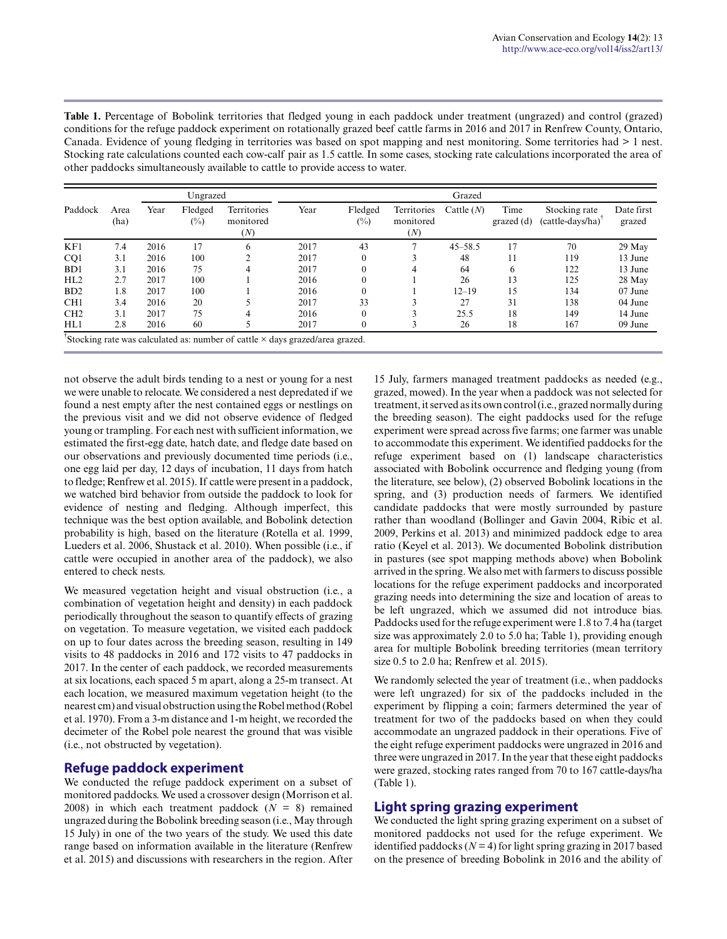| <b>Table 1.</b> Percentage of Bobolink territories that fledged young in each paddock under treatment (ungrazed) and control (grazed)   |
|-----------------------------------------------------------------------------------------------------------------------------------------|
| conditions for the refuge paddock experiment on rotationally grazed beef cattle farms in 2016 and 2017 in Renfrew County, Ontario,      |
| Canada. Evidence of young fledging in territories was based on spot mapping and nest monitoring. Some territories had $>1$ nest.        |
| Stocking rate calculations counted each cow-calf pair as 1.5 cattle. In some cases, stocking rate calculations incorporated the area of |
| other paddocks simultaneously available to cattle to provide access to water.                                                           |

|                                                                                     |              | Ungrazed |                   |                                 | Grazed |                   |                                 |              |                      |                                     |                      |  |  |
|-------------------------------------------------------------------------------------|--------------|----------|-------------------|---------------------------------|--------|-------------------|---------------------------------|--------------|----------------------|-------------------------------------|----------------------|--|--|
| Paddock                                                                             | Area<br>(ha) | Year     | Fledged<br>$(\%)$ | Territories<br>monitored<br>(N) | Year   | Fledged<br>$(\%)$ | Territories<br>monitored<br>(N) | Cattle $(N)$ | Time<br>$grazed$ (d) | Stocking rate<br>$(cattle-days/ha)$ | Date first<br>grazed |  |  |
| KF1                                                                                 | 7.4          | 2016     | 17                | 6                               | 2017   | 43                |                                 | $45 - 58.5$  | 17                   | 70                                  | 29 May               |  |  |
| CQ1                                                                                 | 3.1          | 2016     | 100               |                                 | 2017   | $\Omega$          |                                 | 48           | 11                   | 119                                 | 13 June              |  |  |
| B <sub>D</sub> 1                                                                    | 3.1          | 2016     | 75                |                                 | 2017   | $\Omega$          |                                 | 64           | 6                    | 122                                 | 13 June              |  |  |
| HL2                                                                                 | 2.7          | 2017     | 100               |                                 | 2016   | $\Omega$          |                                 | 26           | 13                   | 125                                 | 28 May               |  |  |
| BD2                                                                                 | 1.8          | 2017     | 100               |                                 | 2016   |                   |                                 | $12 - 19$    | 15                   | 134                                 | 07 June              |  |  |
| CH1                                                                                 | 3.4          | 2016     | 20                |                                 | 2017   | 33                | 3                               | 27           | 31                   | 138                                 | 04 June              |  |  |
| CH2                                                                                 | 3.1          | 2017     | 75                |                                 | 2016   | $\Omega$          |                                 | 25.5         | 18                   | 149                                 | 14 June              |  |  |
| HL1                                                                                 | 2.8          | 2016     | 60                |                                 | 2017   | $\Omega$          |                                 | 26           | 18                   | 167                                 | 09 June              |  |  |
| Stocking rate was calculated as: number of cattle $\times$ days grazed/area grazed. |              |          |                   |                                 |        |                   |                                 |              |                      |                                     |                      |  |  |

not observe the adult birds tending to a nest or young for a nest we were unable to relocate. We considered a nest depredated if we found a nest empty after the nest contained eggs or nestlings on the previous visit and we did not observe evidence of fledged young or trampling. For each nest with sufficient information, we estimated the first-egg date, hatch date, and fledge date based on our observations and previously documented time periods (i.e., one egg laid per day, 12 days of incubation, 11 days from hatch to fledge; Renfrew et al. 2015). If cattle were present in a paddock, we watched bird behavior from outside the paddock to look for evidence of nesting and fledging. Although imperfect, this technique was the best option available, and Bobolink detection probability is high, based on the literature (Rotella et al. 1999, Lueders et al. 2006, Shustack et al. 2010). When possible (i.e., if cattle were occupied in another area of the paddock), we also entered to check nests.

We measured vegetation height and visual obstruction (i.e., a combination of vegetation height and density) in each paddock periodically throughout the season to quantify effects of grazing on vegetation. To measure vegetation, we visited each paddock on up to four dates across the breeding season, resulting in 149 visits to 48 paddocks in 2016 and 172 visits to 47 paddocks in 2017. In the center of each paddock, we recorded measurements at six locations, each spaced 5 m apart, along a 25-m transect. At each location, we measured maximum vegetation height (to the nearest cm) and visual obstruction using the Robel method (Robel et al. 1970). From a 3-m distance and 1-m height, we recorded the decimeter of the Robel pole nearest the ground that was visible (i.e., not obstructed by vegetation).

# **Refuge paddock experiment**

We conducted the refuge paddock experiment on a subset of monitored paddocks. We used a crossover design (Morrison et al. 2008) in which each treatment paddock  $(N = 8)$  remained ungrazed during the Bobolink breeding season (i.e., May through 15 July) in one of the two years of the study. We used this date range based on information available in the literature (Renfrew et al. 2015) and discussions with researchers in the region. After

15 July, farmers managed treatment paddocks as needed (e.g., grazed, mowed). In the year when a paddock was not selected for treatment, it served as its own control (i.e., grazed normally during the breeding season). The eight paddocks used for the refuge experiment were spread across five farms; one farmer was unable to accommodate this experiment. We identified paddocks for the refuge experiment based on (1) landscape characteristics associated with Bobolink occurrence and fledging young (from the literature, see below), (2) observed Bobolink locations in the spring, and (3) production needs of farmers. We identified candidate paddocks that were mostly surrounded by pasture rather than woodland (Bollinger and Gavin 2004, Ribic et al. 2009, Perkins et al. 2013) and minimized paddock edge to area ratio (Keyel et al. 2013). We documented Bobolink distribution in pastures (see spot mapping methods above) when Bobolink arrived in the spring. We also met with farmers to discuss possible locations for the refuge experiment paddocks and incorporated grazing needs into determining the size and location of areas to be left ungrazed, which we assumed did not introduce bias. Paddocks used for the refuge experiment were 1.8 to 7.4 ha (target size was approximately 2.0 to 5.0 ha; Table 1), providing enough area for multiple Bobolink breeding territories (mean territory size 0.5 to 2.0 ha; Renfrew et al. 2015).

We randomly selected the year of treatment (i.e., when paddocks were left ungrazed) for six of the paddocks included in the experiment by flipping a coin; farmers determined the year of treatment for two of the paddocks based on when they could accommodate an ungrazed paddock in their operations. Five of the eight refuge experiment paddocks were ungrazed in 2016 and three were ungrazed in 2017. In the year that these eight paddocks were grazed, stocking rates ranged from 70 to 167 cattle-days/ha (Table 1).

# **Light spring grazing experiment**

We conducted the light spring grazing experiment on a subset of monitored paddocks not used for the refuge experiment. We identified paddocks ( $N = 4$ ) for light spring grazing in 2017 based on the presence of breeding Bobolink in 2016 and the ability of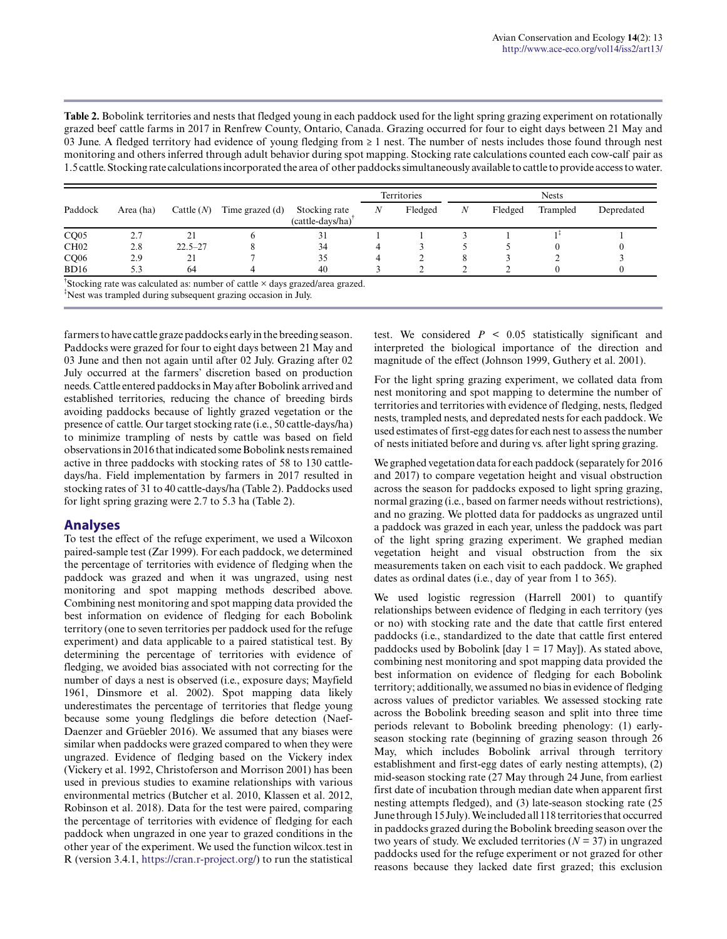**Table 2.** Bobolink territories and nests that fledged young in each paddock used for the light spring grazing experiment on rotationally grazed beef cattle farms in 2017 in Renfrew County, Ontario, Canada. Grazing occurred for four to eight days between 21 May and 03 June. A fledged territory had evidence of young fledging from ≥ 1 nest. The number of nests includes those found through nest monitoring and others inferred through adult behavior during spot mapping. Stocking rate calculations counted each cow-calf pair as 1.5 cattle. Stocking rate calculations incorporated the area of other paddocks simultaneously available to cattle to provide access to water.

|                  |           |              |                 |                                                | Territories      |         |   |         | <b>Nests</b> |            |
|------------------|-----------|--------------|-----------------|------------------------------------------------|------------------|---------|---|---------|--------------|------------|
| Paddock          | Area (ha) | Cattle $(N)$ | Time grazed (d) | Stocking rate<br>(cattle-days/ha) <sup>T</sup> | $\boldsymbol{N}$ | Fledged | N | Fledged | Trampled     | Depredated |
| CQ05             | 2.7       | 21           |                 | 31                                             |                  |         |   |         |              |            |
| CH <sub>02</sub> | 2.8       | $22.5 - 27$  |                 | 34                                             |                  |         |   |         |              |            |
| CQ06             | 2.9       | 21           |                 | 35                                             |                  |         | 8 |         |              |            |
| BD16             | 5.3       | 64           |                 | 40                                             |                  |         |   |         |              |            |

† Stocking rate was calculated as: number of cattle × days grazed/area grazed.

‡Nest was trampled during subsequent grazing occasion in July.

farmers to have cattle graze paddocks early in the breeding season. Paddocks were grazed for four to eight days between 21 May and 03 June and then not again until after 02 July. Grazing after 02 July occurred at the farmers' discretion based on production needs. Cattle entered paddocks in May after Bobolink arrived and established territories, reducing the chance of breeding birds avoiding paddocks because of lightly grazed vegetation or the presence of cattle. Our target stocking rate (i.e., 50 cattle-days/ha) to minimize trampling of nests by cattle was based on field observations in 2016 that indicated some Bobolink nests remained active in three paddocks with stocking rates of 58 to 130 cattledays/ha. Field implementation by farmers in 2017 resulted in stocking rates of 31 to 40 cattle-days/ha (Table 2). Paddocks used for light spring grazing were 2.7 to 5.3 ha (Table 2).

# **Analyses**

To test the effect of the refuge experiment, we used a Wilcoxon paired-sample test (Zar 1999). For each paddock, we determined the percentage of territories with evidence of fledging when the paddock was grazed and when it was ungrazed, using nest monitoring and spot mapping methods described above. Combining nest monitoring and spot mapping data provided the best information on evidence of fledging for each Bobolink territory (one to seven territories per paddock used for the refuge experiment) and data applicable to a paired statistical test. By determining the percentage of territories with evidence of fledging, we avoided bias associated with not correcting for the number of days a nest is observed (i.e., exposure days; Mayfield 1961, Dinsmore et al. 2002). Spot mapping data likely underestimates the percentage of territories that fledge young because some young fledglings die before detection (Naef-Daenzer and Grüebler 2016). We assumed that any biases were similar when paddocks were grazed compared to when they were ungrazed. Evidence of fledging based on the Vickery index (Vickery et al. 1992, Christoferson and Morrison 2001) has been used in previous studies to examine relationships with various environmental metrics (Butcher et al. 2010, Klassen et al. 2012, Robinson et al. 2018). Data for the test were paired, comparing the percentage of territories with evidence of fledging for each paddock when ungrazed in one year to grazed conditions in the other year of the experiment. We used the function wilcox.test in R (version 3.4.1, [https://cran.r-project.org/\)](https://cran.r-project.org/) to run the statistical

test. We considered  $P \leq 0.05$  statistically significant and interpreted the biological importance of the direction and magnitude of the effect (Johnson 1999, Guthery et al. 2001).

For the light spring grazing experiment, we collated data from nest monitoring and spot mapping to determine the number of territories and territories with evidence of fledging, nests, fledged nests, trampled nests, and depredated nests for each paddock. We used estimates of first-egg dates for each nest to assess the number of nests initiated before and during vs. after light spring grazing.

We graphed vegetation data for each paddock (separately for 2016 and 2017) to compare vegetation height and visual obstruction across the season for paddocks exposed to light spring grazing, normal grazing (i.e., based on farmer needs without restrictions), and no grazing. We plotted data for paddocks as ungrazed until a paddock was grazed in each year, unless the paddock was part of the light spring grazing experiment. We graphed median vegetation height and visual obstruction from the six measurements taken on each visit to each paddock. We graphed dates as ordinal dates (i.e., day of year from 1 to 365).

We used logistic regression (Harrell 2001) to quantify relationships between evidence of fledging in each territory (yes or no) with stocking rate and the date that cattle first entered paddocks (i.e., standardized to the date that cattle first entered paddocks used by Bobolink [day  $1 = 17$  May]). As stated above, combining nest monitoring and spot mapping data provided the best information on evidence of fledging for each Bobolink territory; additionally, we assumed no bias in evidence of fledging across values of predictor variables. We assessed stocking rate across the Bobolink breeding season and split into three time periods relevant to Bobolink breeding phenology: (1) earlyseason stocking rate (beginning of grazing season through 26 May, which includes Bobolink arrival through territory establishment and first-egg dates of early nesting attempts), (2) mid-season stocking rate (27 May through 24 June, from earliest first date of incubation through median date when apparent first nesting attempts fledged), and (3) late-season stocking rate (25 June through 15 July). We included all 118 territories that occurred in paddocks grazed during the Bobolink breeding season over the two years of study. We excluded territories  $(N = 37)$  in ungrazed paddocks used for the refuge experiment or not grazed for other reasons because they lacked date first grazed; this exclusion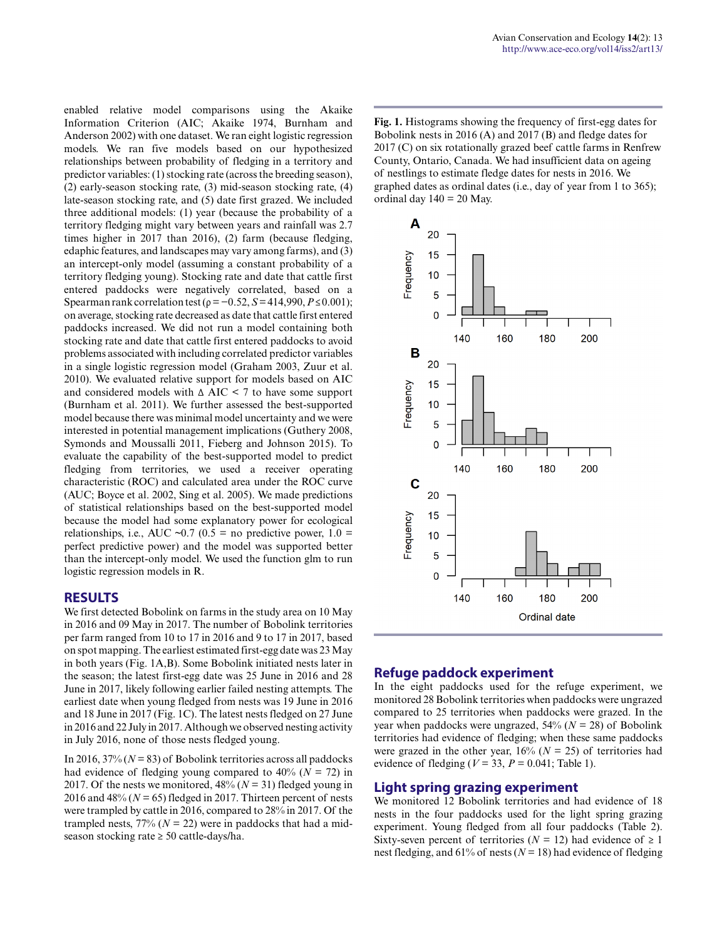enabled relative model comparisons using the Akaike Information Criterion (AIC; Akaike 1974, Burnham and Anderson 2002) with one dataset. We ran eight logistic regression models. We ran five models based on our hypothesized relationships between probability of fledging in a territory and predictor variables: (1) stocking rate (across the breeding season), (2) early-season stocking rate, (3) mid-season stocking rate, (4) late-season stocking rate, and (5) date first grazed. We included three additional models: (1) year (because the probability of a territory fledging might vary between years and rainfall was 2.7 times higher in 2017 than 2016), (2) farm (because fledging, edaphic features, and landscapes may vary among farms), and (3) an intercept-only model (assuming a constant probability of a territory fledging young). Stocking rate and date that cattle first entered paddocks were negatively correlated, based on a Spearman rank correlation test ( $\rho = -0.52$ ,  $S = 414,990$ ,  $P \le 0.001$ ); on average, stocking rate decreased as date that cattle first entered paddocks increased. We did not run a model containing both stocking rate and date that cattle first entered paddocks to avoid problems associated with including correlated predictor variables in a single logistic regression model (Graham 2003, Zuur et al. 2010). We evaluated relative support for models based on AIC and considered models with Δ AIC < 7 to have some support (Burnham et al. 2011). We further assessed the best-supported model because there was minimal model uncertainty and we were interested in potential management implications (Guthery 2008, Symonds and Moussalli 2011, Fieberg and Johnson 2015). To evaluate the capability of the best-supported model to predict fledging from territories, we used a receiver operating characteristic (ROC) and calculated area under the ROC curve (AUC; Boyce et al. 2002, Sing et al. 2005). We made predictions of statistical relationships based on the best-supported model because the model had some explanatory power for ecological relationships, i.e., AUC ~0.7 (0.5 = no predictive power,  $1.0 =$ perfect predictive power) and the model was supported better than the intercept-only model. We used the function glm to run logistic regression models in R.

# **RESULTS**

We first detected Bobolink on farms in the study area on 10 May in 2016 and 09 May in 2017. The number of Bobolink territories per farm ranged from 10 to 17 in 2016 and 9 to 17 in 2017, based on spot mapping. The earliest estimated first-egg date was 23 May in both years (Fig. 1A,B). Some Bobolink initiated nests later in the season; the latest first-egg date was 25 June in 2016 and 28 June in 2017, likely following earlier failed nesting attempts. The earliest date when young fledged from nests was 19 June in 2016 and 18 June in 2017 (Fig. 1C). The latest nests fledged on 27 June in 2016 and 22 July in 2017. Although we observed nesting activity in July 2016, none of those nests fledged young.

In 2016,  $37\frac{1}{10}$  ( $N = 83$ ) of Bobolink territories across all paddocks had evidence of fledging young compared to  $40\%$  ( $N = 72$ ) in 2017. Of the nests we monitored,  $48\%$  ( $N = 31$ ) fledged young in 2016 and  $48\%$  ( $N = 65$ ) fledged in 2017. Thirteen percent of nests were trampled by cattle in 2016, compared to 28% in 2017. Of the trampled nests,  $77\%$  ( $N = 22$ ) were in paddocks that had a midseason stocking rate ≥ 50 cattle-days/ha.

**Fig. 1.** Histograms showing the frequency of first-egg dates for Bobolink nests in 2016 (A) and 2017 (B) and fledge dates for 2017 (C) on six rotationally grazed beef cattle farms in Renfrew County, Ontario, Canada. We had insufficient data on ageing of nestlings to estimate fledge dates for nests in 2016. We graphed dates as ordinal dates (i.e., day of year from 1 to 365); ordinal day  $140 = 20$  May.



# **Refuge paddock experiment**

In the eight paddocks used for the refuge experiment, we monitored 28 Bobolink territories when paddocks were ungrazed compared to 25 territories when paddocks were grazed. In the year when paddocks were ungrazed, 54% (*N* = 28) of Bobolink territories had evidence of fledging; when these same paddocks were grazed in the other year,  $16\%$  ( $N = 25$ ) of territories had evidence of fledging ( $V = 33$ ,  $P = 0.041$ ; Table 1).

#### **Light spring grazing experiment**

We monitored 12 Bobolink territories and had evidence of 18 nests in the four paddocks used for the light spring grazing experiment. Young fledged from all four paddocks (Table 2). Sixty-seven percent of territories ( $N = 12$ ) had evidence of  $\ge 1$ nest fledging, and 61% of nests ( $N = 18$ ) had evidence of fledging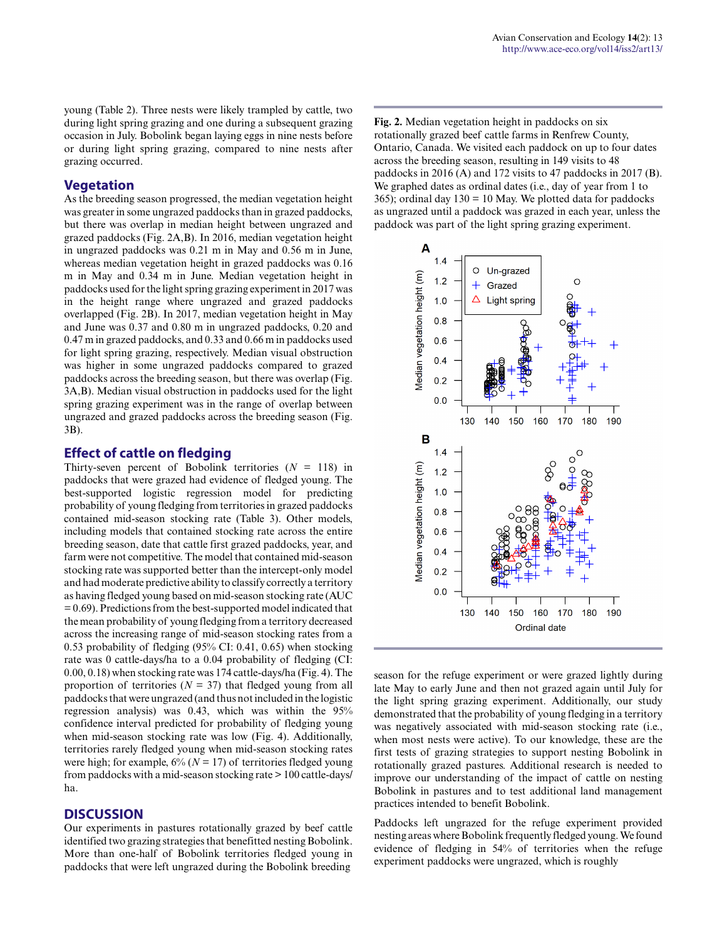young (Table 2). Three nests were likely trampled by cattle, two during light spring grazing and one during a subsequent grazing occasion in July. Bobolink began laying eggs in nine nests before or during light spring grazing, compared to nine nests after grazing occurred.

# **Vegetation**

As the breeding season progressed, the median vegetation height was greater in some ungrazed paddocks than in grazed paddocks, but there was overlap in median height between ungrazed and grazed paddocks (Fig. 2A,B). In 2016, median vegetation height in ungrazed paddocks was 0.21 m in May and 0.56 m in June, whereas median vegetation height in grazed paddocks was 0.16 m in May and 0.34 m in June. Median vegetation height in paddocks used for the light spring grazing experiment in 2017 was in the height range where ungrazed and grazed paddocks overlapped (Fig. 2B). In 2017, median vegetation height in May and June was 0.37 and 0.80 m in ungrazed paddocks, 0.20 and 0.47 m in grazed paddocks, and 0.33 and 0.66 m in paddocks used for light spring grazing, respectively. Median visual obstruction was higher in some ungrazed paddocks compared to grazed paddocks across the breeding season, but there was overlap (Fig. 3A,B). Median visual obstruction in paddocks used for the light spring grazing experiment was in the range of overlap between ungrazed and grazed paddocks across the breeding season (Fig. 3B).

# **Effect of cattle on fledging**

Thirty-seven percent of Bobolink territories  $(N = 118)$  in paddocks that were grazed had evidence of fledged young. The best-supported logistic regression model for predicting probability of young fledging from territories in grazed paddocks contained mid-season stocking rate (Table 3). Other models, including models that contained stocking rate across the entire breeding season, date that cattle first grazed paddocks, year, and farm were not competitive. The model that contained mid-season stocking rate was supported better than the intercept-only model and had moderate predictive ability to classify correctly a territory as having fledged young based on mid-season stocking rate (AUC = 0.69). Predictions from the best-supported model indicated that the mean probability of young fledging from a territory decreased across the increasing range of mid-season stocking rates from a 0.53 probability of fledging (95% CI: 0.41, 0.65) when stocking rate was 0 cattle-days/ha to a 0.04 probability of fledging (CI: 0.00, 0.18) when stocking rate was 174 cattle-days/ha (Fig. 4). The proportion of territories ( $N = 37$ ) that fledged young from all paddocks that were ungrazed (and thus not included in the logistic regression analysis) was 0.43, which was within the 95% confidence interval predicted for probability of fledging young when mid-season stocking rate was low (Fig. 4). Additionally, territories rarely fledged young when mid-season stocking rates were high; for example,  $6\%$  ( $N = 17$ ) of territories fledged young from paddocks with a mid-season stocking rate > 100 cattle-days/ ha.

# **DISCUSSION**

Our experiments in pastures rotationally grazed by beef cattle identified two grazing strategies that benefitted nesting Bobolink. More than one-half of Bobolink territories fledged young in paddocks that were left ungrazed during the Bobolink breeding

**Fig. 2.** Median vegetation height in paddocks on six rotationally grazed beef cattle farms in Renfrew County, Ontario, Canada. We visited each paddock on up to four dates across the breeding season, resulting in 149 visits to 48 paddocks in 2016 (A) and 172 visits to 47 paddocks in 2017 (B). We graphed dates as ordinal dates (i.e., day of year from 1 to 365); ordinal day  $130 = 10$  May. We plotted data for paddocks as ungrazed until a paddock was grazed in each year, unless the paddock was part of the light spring grazing experiment.



season for the refuge experiment or were grazed lightly during late May to early June and then not grazed again until July for the light spring grazing experiment. Additionally, our study demonstrated that the probability of young fledging in a territory was negatively associated with mid-season stocking rate (i.e., when most nests were active). To our knowledge, these are the first tests of grazing strategies to support nesting Bobolink in rotationally grazed pastures. Additional research is needed to improve our understanding of the impact of cattle on nesting Bobolink in pastures and to test additional land management practices intended to benefit Bobolink.

Paddocks left ungrazed for the refuge experiment provided nesting areas where Bobolink frequently fledged young. We found evidence of fledging in 54% of territories when the refuge experiment paddocks were ungrazed, which is roughly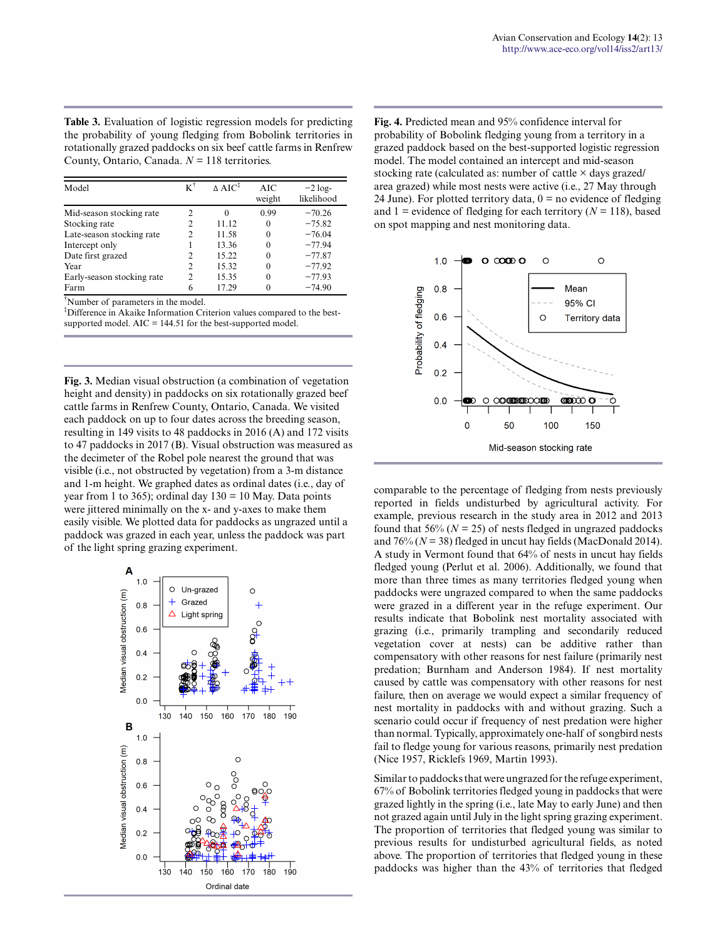**Table 3.** Evaluation of logistic regression models for predicting the probability of young fledging from Bobolink territories in rotationally grazed paddocks on six beef cattle farms in Renfrew County, Ontario, Canada. *N* = 118 territories.

| Model                      | $K^{\dagger}$  | $\triangle$ AIC <sup>1</sup> | AIC<br>weight | $-2 \log -$<br>likelihood |
|----------------------------|----------------|------------------------------|---------------|---------------------------|
| Mid-season stocking rate   | 2              | $\Omega$                     | 0.99          | $-70.26$                  |
| Stocking rate              | 2              | 11.12                        | $\theta$      | $-75.82$                  |
| Late-season stocking rate  | $\mathfrak{D}$ | 11.58                        | $\Omega$      | $-76.04$                  |
| Intercept only             |                | 13.36                        | 0             | $-77.94$                  |
| Date first grazed          | 2              | 15.22                        | 0             | $-77.87$                  |
| Year                       | $\mathfrak{D}$ | 15.32                        | 0             | $-77.92$                  |
| Early-season stocking rate | $\mathfrak{D}$ | 15.35                        | 0             | $-77.93$                  |
| Farm                       | 6              | 17.29                        |               | $-74.90$                  |

†Number of parameters in the model.

<sup>‡</sup>Difference in Akaike Information Criterion values compared to the bestsupported model. AIC = 144.51 for the best-supported model.

**Fig. 3.** Median visual obstruction (a combination of vegetation height and density) in paddocks on six rotationally grazed beef cattle farms in Renfrew County, Ontario, Canada. We visited each paddock on up to four dates across the breeding season, resulting in 149 visits to 48 paddocks in 2016 (A) and 172 visits to 47 paddocks in 2017 (B). Visual obstruction was measured as the decimeter of the Robel pole nearest the ground that was visible (i.e., not obstructed by vegetation) from a 3-m distance and 1-m height. We graphed dates as ordinal dates (i.e., day of year from 1 to 365); ordinal day  $130 = 10$  May. Data points were jittered minimally on the x- and y-axes to make them easily visible. We plotted data for paddocks as ungrazed until a paddock was grazed in each year, unless the paddock was part of the light spring grazing experiment.



**Fig. 4.** Predicted mean and 95% confidence interval for probability of Bobolink fledging young from a territory in a grazed paddock based on the best-supported logistic regression model. The model contained an intercept and mid-season stocking rate (calculated as: number of cattle × days grazed/ area grazed) while most nests were active (i.e., 27 May through 24 June). For plotted territory data,  $0 =$  no evidence of fledging and 1 = evidence of fledging for each territory ( $N = 118$ ), based on spot mapping and nest monitoring data.



comparable to the percentage of fledging from nests previously reported in fields undisturbed by agricultural activity. For example, previous research in the study area in 2012 and 2013 found that  $56\%$  ( $N = 25$ ) of nests fledged in ungrazed paddocks and  $76\%$  ( $N = 38$ ) fledged in uncut hay fields (MacDonald 2014). A study in Vermont found that 64% of nests in uncut hay fields fledged young (Perlut et al. 2006). Additionally, we found that more than three times as many territories fledged young when paddocks were ungrazed compared to when the same paddocks were grazed in a different year in the refuge experiment. Our results indicate that Bobolink nest mortality associated with grazing (i.e., primarily trampling and secondarily reduced vegetation cover at nests) can be additive rather than compensatory with other reasons for nest failure (primarily nest predation; Burnham and Anderson 1984). If nest mortality caused by cattle was compensatory with other reasons for nest failure, then on average we would expect a similar frequency of nest mortality in paddocks with and without grazing. Such a scenario could occur if frequency of nest predation were higher than normal. Typically, approximately one-half of songbird nests fail to fledge young for various reasons, primarily nest predation (Nice 1957, Ricklefs 1969, Martin 1993).

Similar to paddocks that were ungrazed for the refuge experiment, 67% of Bobolink territories fledged young in paddocks that were grazed lightly in the spring (i.e., late May to early June) and then not grazed again until July in the light spring grazing experiment. The proportion of territories that fledged young was similar to previous results for undisturbed agricultural fields, as noted above. The proportion of territories that fledged young in these paddocks was higher than the 43% of territories that fledged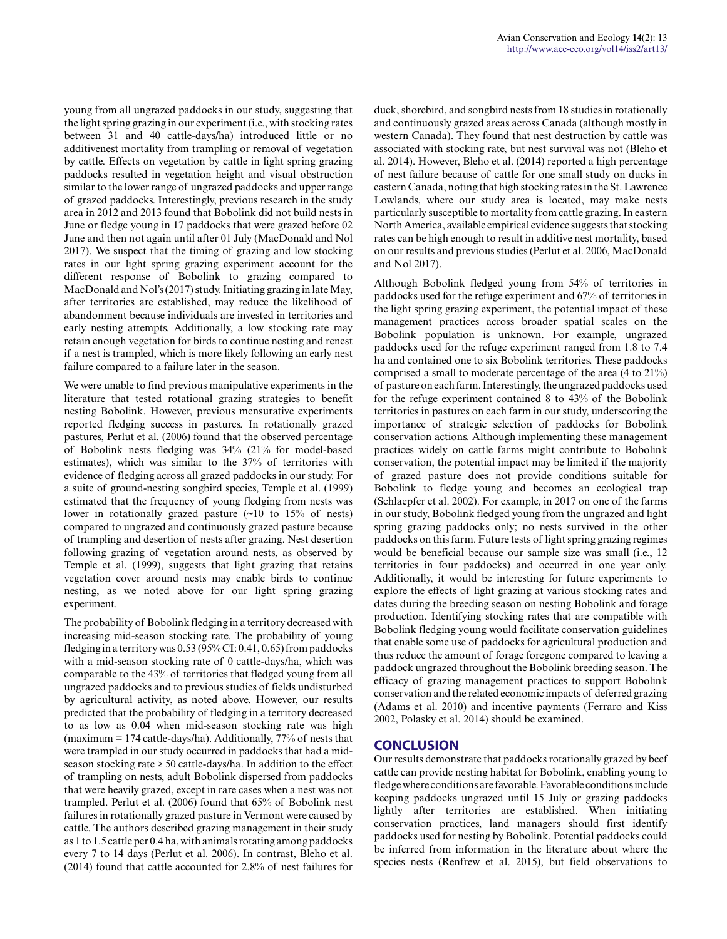young from all ungrazed paddocks in our study, suggesting that the light spring grazing in our experiment (i.e., with stocking rates between 31 and 40 cattle-days/ha) introduced little or no additivenest mortality from trampling or removal of vegetation by cattle. Effects on vegetation by cattle in light spring grazing paddocks resulted in vegetation height and visual obstruction similar to the lower range of ungrazed paddocks and upper range of grazed paddocks. Interestingly, previous research in the study area in 2012 and 2013 found that Bobolink did not build nests in June or fledge young in 17 paddocks that were grazed before 02 June and then not again until after 01 July (MacDonald and Nol 2017). We suspect that the timing of grazing and low stocking rates in our light spring grazing experiment account for the different response of Bobolink to grazing compared to MacDonald and Nol's (2017) study. Initiating grazing in late May, after territories are established, may reduce the likelihood of abandonment because individuals are invested in territories and early nesting attempts. Additionally, a low stocking rate may retain enough vegetation for birds to continue nesting and renest if a nest is trampled, which is more likely following an early nest failure compared to a failure later in the season.

We were unable to find previous manipulative experiments in the literature that tested rotational grazing strategies to benefit nesting Bobolink. However, previous mensurative experiments reported fledging success in pastures. In rotationally grazed pastures, Perlut et al. (2006) found that the observed percentage of Bobolink nests fledging was 34% (21% for model-based estimates), which was similar to the 37% of territories with evidence of fledging across all grazed paddocks in our study. For a suite of ground-nesting songbird species, Temple et al. (1999) estimated that the frequency of young fledging from nests was lower in rotationally grazed pasture (~10 to 15% of nests) compared to ungrazed and continuously grazed pasture because of trampling and desertion of nests after grazing. Nest desertion following grazing of vegetation around nests, as observed by Temple et al. (1999), suggests that light grazing that retains vegetation cover around nests may enable birds to continue nesting, as we noted above for our light spring grazing experiment.

The probability of Bobolink fledging in a territory decreased with increasing mid-season stocking rate. The probability of young fledging in a territory was 0.53 (95% CI: 0.41, 0.65) from paddocks with a mid-season stocking rate of 0 cattle-days/ha, which was comparable to the 43% of territories that fledged young from all ungrazed paddocks and to previous studies of fields undisturbed by agricultural activity, as noted above. However, our results predicted that the probability of fledging in a territory decreased to as low as 0.04 when mid-season stocking rate was high (maximum = 174 cattle-days/ha). Additionally, 77% of nests that were trampled in our study occurred in paddocks that had a midseason stocking rate  $\geq 50$  cattle-days/ha. In addition to the effect of trampling on nests, adult Bobolink dispersed from paddocks that were heavily grazed, except in rare cases when a nest was not trampled. Perlut et al. (2006) found that 65% of Bobolink nest failures in rotationally grazed pasture in Vermont were caused by cattle. The authors described grazing management in their study as 1 to 1.5 cattle per 0.4 ha, with animals rotating among paddocks every 7 to 14 days (Perlut et al. 2006). In contrast, Bleho et al. (2014) found that cattle accounted for 2.8% of nest failures for

duck, shorebird, and songbird nests from 18 studies in rotationally and continuously grazed areas across Canada (although mostly in western Canada). They found that nest destruction by cattle was associated with stocking rate, but nest survival was not (Bleho et al. 2014). However, Bleho et al. (2014) reported a high percentage of nest failure because of cattle for one small study on ducks in eastern Canada, noting that high stocking rates in the St. Lawrence Lowlands, where our study area is located, may make nests particularly susceptible to mortality from cattle grazing. In eastern North America, available empirical evidence suggests that stocking rates can be high enough to result in additive nest mortality, based on our results and previous studies (Perlut et al. 2006, MacDonald and Nol 2017).

Although Bobolink fledged young from 54% of territories in paddocks used for the refuge experiment and 67% of territories in the light spring grazing experiment, the potential impact of these management practices across broader spatial scales on the Bobolink population is unknown. For example, ungrazed paddocks used for the refuge experiment ranged from 1.8 to 7.4 ha and contained one to six Bobolink territories. These paddocks comprised a small to moderate percentage of the area (4 to 21%) of pasture on each farm. Interestingly, the ungrazed paddocks used for the refuge experiment contained 8 to 43% of the Bobolink territories in pastures on each farm in our study, underscoring the importance of strategic selection of paddocks for Bobolink conservation actions. Although implementing these management practices widely on cattle farms might contribute to Bobolink conservation, the potential impact may be limited if the majority of grazed pasture does not provide conditions suitable for Bobolink to fledge young and becomes an ecological trap (Schlaepfer et al. 2002). For example, in 2017 on one of the farms in our study, Bobolink fledged young from the ungrazed and light spring grazing paddocks only; no nests survived in the other paddocks on this farm. Future tests of light spring grazing regimes would be beneficial because our sample size was small (i.e., 12 territories in four paddocks) and occurred in one year only. Additionally, it would be interesting for future experiments to explore the effects of light grazing at various stocking rates and dates during the breeding season on nesting Bobolink and forage production. Identifying stocking rates that are compatible with Bobolink fledging young would facilitate conservation guidelines that enable some use of paddocks for agricultural production and thus reduce the amount of forage foregone compared to leaving a paddock ungrazed throughout the Bobolink breeding season. The efficacy of grazing management practices to support Bobolink conservation and the related economic impacts of deferred grazing (Adams et al. 2010) and incentive payments (Ferraro and Kiss 2002, Polasky et al. 2014) should be examined.

# **CONCLUSION**

Our results demonstrate that paddocks rotationally grazed by beef cattle can provide nesting habitat for Bobolink, enabling young to fledge where conditions are favorable. Favorable conditions include keeping paddocks ungrazed until 15 July or grazing paddocks lightly after territories are established. When initiating conservation practices, land managers should first identify paddocks used for nesting by Bobolink. Potential paddocks could be inferred from information in the literature about where the species nests (Renfrew et al. 2015), but field observations to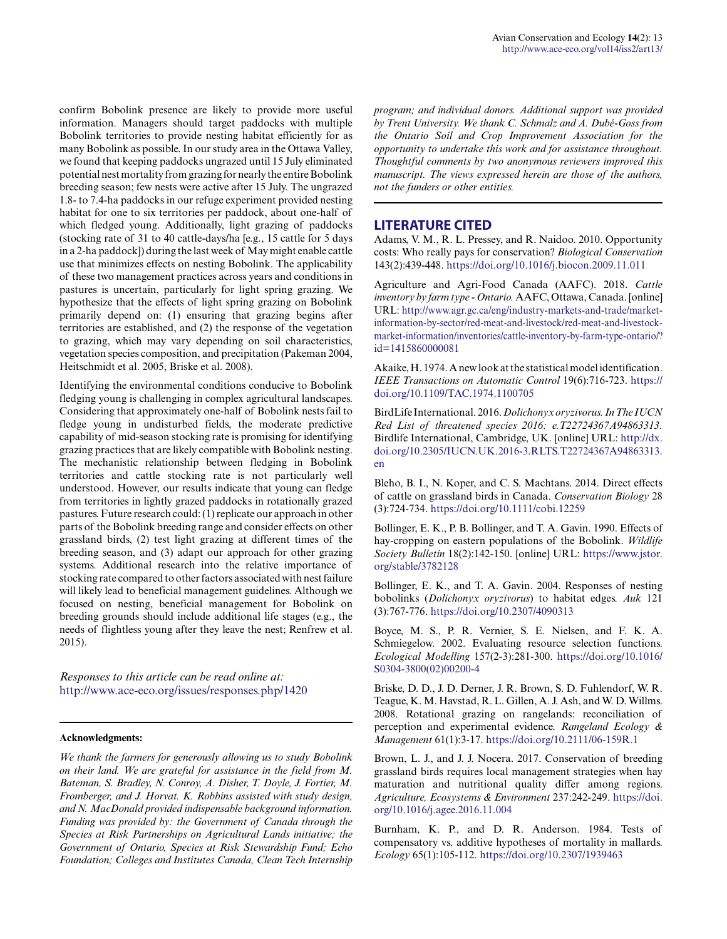confirm Bobolink presence are likely to provide more useful information. Managers should target paddocks with multiple Bobolink territories to provide nesting habitat efficiently for as many Bobolink as possible. In our study area in the Ottawa Valley, we found that keeping paddocks ungrazed until 15 July eliminated potential nest mortality from grazing for nearly the entire Bobolink breeding season; few nests were active after 15 July. The ungrazed 1.8- to 7.4-ha paddocks in our refuge experiment provided nesting habitat for one to six territories per paddock, about one-half of which fledged young. Additionally, light grazing of paddocks (stocking rate of 31 to 40 cattle-days/ha [e.g., 15 cattle for 5 days in a 2-ha paddock]) during the last week of May might enable cattle use that minimizes effects on nesting Bobolink. The applicability of these two management practices across years and conditions in pastures is uncertain, particularly for light spring grazing. We hypothesize that the effects of light spring grazing on Bobolink primarily depend on: (1) ensuring that grazing begins after territories are established, and (2) the response of the vegetation to grazing, which may vary depending on soil characteristics, vegetation species composition, and precipitation (Pakeman 2004, Heitschmidt et al. 2005, Briske et al. 2008).

Identifying the environmental conditions conducive to Bobolink fledging young is challenging in complex agricultural landscapes. Considering that approximately one-half of Bobolink nests fail to fledge young in undisturbed fields, the moderate predictive capability of mid-season stocking rate is promising for identifying grazing practices that are likely compatible with Bobolink nesting. The mechanistic relationship between fledging in Bobolink territories and cattle stocking rate is not particularly well understood. However, our results indicate that young can fledge from territories in lightly grazed paddocks in rotationally grazed pastures. Future research could: (1) replicate our approach in other parts of the Bobolink breeding range and consider effects on other grassland birds, (2) test light grazing at different times of the breeding season, and (3) adapt our approach for other grazing systems. Additional research into the relative importance of stocking rate compared to other factors associated with nest failure will likely lead to beneficial management guidelines. Although we focused on nesting, beneficial management for Bobolink on breeding grounds should include additional life stages (e.g., the needs of flightless young after they leave the nest; Renfrew et al. 2015).

*Responses to this article can be read online at:* <http://www.ace-eco.org/issues/responses.php/1420>

#### **Acknowledgments:**

*We thank the farmers for generously allowing us to study Bobolink on their land. We are grateful for assistance in the field from M. Bateman, S. Bradley, N. Conroy, A. Disher, T. Doyle, J. Fortier, M. Fromberger, and J. Horvat. K. Robbins assisted with study design, and N. MacDonald provided indispensable background information. Funding was provided by: the Government of Canada through the Species at Risk Partnerships on Agricultural Lands initiative; the Government of Ontario, Species at Risk Stewardship Fund; Echo Foundation; Colleges and Institutes Canada, Clean Tech Internship*

*program; and individual donors. Additional support was provided by Trent University. We thank C. Schmalz and A. Dubé-Goss from the Ontario Soil and Crop Improvement Association for the opportunity to undertake this work and for assistance throughout. Thoughtful comments by two anonymous reviewers improved this manuscript. The views expressed herein are those of the authors, not the funders or other entities.*

#### **LITERATURE CITED**

Adams, V. M., R. L. Pressey, and R. Naidoo. 2010. Opportunity costs: Who really pays for conservation? *Biological Conservation* 143(2):439-448.<https://doi.org/10.1016/j.biocon.2009.11.011>

Agriculture and Agri-Food Canada (AAFC). 2018. *Cattle inventory by farm type - Ontario.* AAFC, Ottawa, Canada. [online] URL: [http://www.agr.gc.ca/eng/industry-markets-and-trade/market](http://www.agr.gc.ca/eng/industry-markets-and-trade/market-information-by-sector/red-meat-and-livestock/red-meat-and-livestock-market-information/inventories/cattle-inventory-by-farm-type-ontario/?id=1415860000081)[information-by-sector/red-meat-and-livestock/red-meat-and-livestock](http://www.agr.gc.ca/eng/industry-markets-and-trade/market-information-by-sector/red-meat-and-livestock/red-meat-and-livestock-market-information/inventories/cattle-inventory-by-farm-type-ontario/?id=1415860000081)[market-information/inventories/cattle-inventory-by-farm-type-ontario/?](http://www.agr.gc.ca/eng/industry-markets-and-trade/market-information-by-sector/red-meat-and-livestock/red-meat-and-livestock-market-information/inventories/cattle-inventory-by-farm-type-ontario/?id=1415860000081) [id=1415860000081](http://www.agr.gc.ca/eng/industry-markets-and-trade/market-information-by-sector/red-meat-and-livestock/red-meat-and-livestock-market-information/inventories/cattle-inventory-by-farm-type-ontario/?id=1415860000081) 

Akaike, H. 1974. A new look at the statistical model identification. *IEEE Transactions on Automatic Control* 19(6):716-723. [https://](https://doi.org/10.1109/TAC.1974.1100705) [doi.org/10.1109/TAC.1974.1100705](https://doi.org/10.1109/TAC.1974.1100705) 

BirdLife International. 2016. *Dolichonyx oryzivorus.InThe IUCN Red List of threatened species 2016: e.T22724367A94863313.* Birdlife International, Cambridge, UK. [online] URL: [http://dx.](http://dx.doi.org/10.2305/IUCN.UK.2016-3.RLTS.T22724367A94863313.en) [doi.org/10.2305/IUCN.UK.2016-3.RLTS.T22724367A94863313.](http://dx.doi.org/10.2305/IUCN.UK.2016-3.RLTS.T22724367A94863313.en) [en](http://dx.doi.org/10.2305/IUCN.UK.2016-3.RLTS.T22724367A94863313.en) 

Bleho, B. I., N. Koper, and C. S. Machtans. 2014. Direct effects of cattle on grassland birds in Canada. *Conservation Biology* 28 (3):724-734. <https://doi.org/10.1111/cobi.12259>

Bollinger, E. K., P. B. Bollinger, and T. A. Gavin. 1990. Effects of hay-cropping on eastern populations of the Bobolink. *Wildlife Society Bulletin* 18(2):142-150. [online] URL: [https://www.jstor.](https://www.jstor.org/stable/3782128) [org/stable/3782128](https://www.jstor.org/stable/3782128)

Bollinger, E. K., and T. A. Gavin. 2004. Responses of nesting bobolinks (*Dolichonyx oryzivorus*) to habitat edges. *Auk* 121 (3):767-776. <https://doi.org/10.2307/4090313>

Boyce, M. S., P. R. Vernier, S. E. Nielsen, and F. K. A. Schmiegelow. 2002. Evaluating resource selection functions. *Ecological Modelling* 157(2-3):281-300. [https://doi.org/10.1016/](https://doi.org/10.1016/S0304-3800(02)00200-4) [S0304-3800\(02\)00200-4](https://doi.org/10.1016/S0304-3800(02)00200-4) 

Briske, D. D., J. D. Derner, J. R. Brown, S. D. Fuhlendorf, W. R. Teague, K. M. Havstad, R. L. Gillen, A. J. Ash, and W. D. Willms. 2008. Rotational grazing on rangelands: reconciliation of perception and experimental evidence. *Rangeland Ecology & Management* 61(1):3-17.<https://doi.org/10.2111/06-159R.1>

Brown, L. J., and J. J. Nocera. 2017. Conservation of breeding grassland birds requires local management strategies when hay maturation and nutritional quality differ among regions. *Agriculture, Ecosystems & Environment* 237:242-249. [https://doi.](https://doi.org/10.1016/j.agee.2016.11.004) [org/10.1016/j.agee.2016.11.004](https://doi.org/10.1016/j.agee.2016.11.004)

Burnham, K. P., and D. R. Anderson. 1984. Tests of compensatory vs. additive hypotheses of mortality in mallards. *Ecology* 65(1):105-112.<https://doi.org/10.2307/1939463>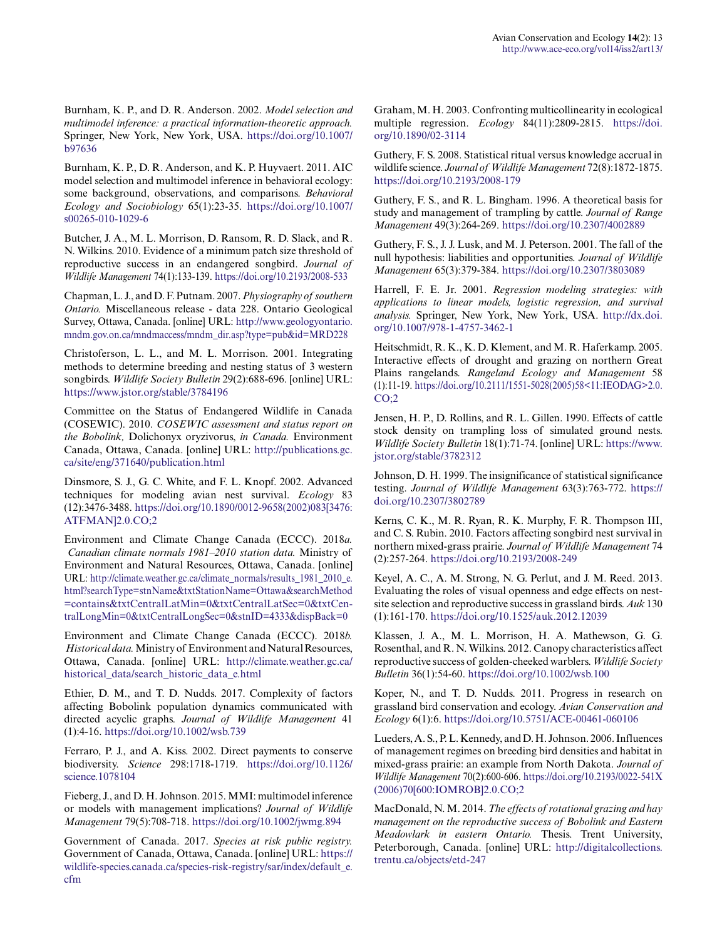Burnham, K. P., and D. R. Anderson. 2002. *Model selection and multimodel inference: a practical information-theoretic approach.* Springer, New York, New York, USA. [https://doi.org/10.1007/](https://doi.org/10.1007/b97636) [b97636](https://doi.org/10.1007/b97636)

Burnham, K. P., D. R. Anderson, and K. P. Huyvaert. 2011. AIC model selection and multimodel inference in behavioral ecology: some background, observations, and comparisons. *Behavioral Ecology and Sociobiology* 65(1):23-35. [https://doi.org/10.1007/](https://doi.org/10.1007/s00265-010-1029-6) [s00265-010-1029-6](https://doi.org/10.1007/s00265-010-1029-6) 

Butcher, J. A., M. L. Morrison, D. Ransom, R. D. Slack, and R. N. Wilkins. 2010. Evidence of a minimum patch size threshold of reproductive success in an endangered songbird. *Journal of Wildlife Management* 74(1):133-139. <https://doi.org/10.2193/2008-533>

Chapman, L. J., and D. F. Putnam. 2007. *Physiography of southern Ontario.* Miscellaneous release - data 228. Ontario Geological Survey, Ottawa, Canada. [online] URL: [http://www.geologyontario.](http://www.geologyontario.mndm.gov.on.ca/mndmaccess/mndm_dir.asp?type=pub&id=MRD228) [mndm.gov.on.ca/mndmaccess/mndm\\_dir.asp?type=pub&id=MRD228](http://www.geologyontario.mndm.gov.on.ca/mndmaccess/mndm_dir.asp?type=pub&id=MRD228)

Christoferson, L. L., and M. L. Morrison. 2001. Integrating methods to determine breeding and nesting status of 3 western songbirds. *Wildlife Society Bulletin* 29(2):688-696. [online] URL: <https://www.jstor.org/stable/3784196>

Committee on the Status of Endangered Wildlife in Canada (COSEWIC). 2010. *COSEWIC assessment and status report on the Bobolink,* Dolichonyx oryzivorus, *in Canada.* Environment Canada, Ottawa, Canada. [online] URL: [http://publications.gc.](http://publications.gc.ca/site/eng/371640/publication.html) [ca/site/eng/371640/publication.html](http://publications.gc.ca/site/eng/371640/publication.html)

Dinsmore, S. J., G. C. White, and F. L. Knopf. 2002. Advanced techniques for modeling avian nest survival. *Ecology* 83 (12):3476-3488. [https://doi.org/10.1890/0012-9658\(2002\)083\[3476:](https://doi.org/10.1890/0012-9658(2002)083[3476:ATFMAN]2.0.CO;2) [ATFMAN\]2.0.CO;2](https://doi.org/10.1890/0012-9658(2002)083[3476:ATFMAN]2.0.CO;2)

Environment and Climate Change Canada (ECCC). 2018*a. Canadian climate normals 1981–2010 station data.* Ministry of Environment and Natural Resources, Ottawa, Canada. [online] URL: [http://climate.weather.gc.ca/climate\\_normals/results\\_1981\\_2010\\_e.](http://climate.weather.gc.ca/climate_normals/results_1981_2010_e.html?searchType=stnName&txtStationName=Ottawa&searchMethod=contains&txtCentralLatMin=0&txtCentralLatSec=0&txtCentralLongMin=0&txtCentralLongSec=0&stnID=4333&dispBack=0) [html?searchType=stnName&txtStationName=Ottawa&searchMethod](http://climate.weather.gc.ca/climate_normals/results_1981_2010_e.html?searchType=stnName&txtStationName=Ottawa&searchMethod=contains&txtCentralLatMin=0&txtCentralLatSec=0&txtCentralLongMin=0&txtCentralLongSec=0&stnID=4333&dispBack=0) [=contains&txtCentralLatMin=0&txtCentralLatSec=0&txtCen](http://climate.weather.gc.ca/climate_normals/results_1981_2010_e.html?searchType=stnName&txtStationName=Ottawa&searchMethod=contains&txtCentralLatMin=0&txtCentralLatSec=0&txtCentralLongMin=0&txtCentralLongSec=0&stnID=4333&dispBack=0)[tralLongMin=0&txtCentralLongSec=0&stnID=4333&dispBack=0](http://climate.weather.gc.ca/climate_normals/results_1981_2010_e.html?searchType=stnName&txtStationName=Ottawa&searchMethod=contains&txtCentralLatMin=0&txtCentralLatSec=0&txtCentralLongMin=0&txtCentralLongSec=0&stnID=4333&dispBack=0) 

Environment and Climate Change Canada (ECCC). 2018*b. Historical data.* Ministry of Environment and Natural Resources, Ottawa, Canada. [online] URL: [http://climate.weather.gc.ca/](http://climate.weather.gc.ca/historical_data/search_historic_data_e.html) [historical\\_data/search\\_historic\\_data\\_e.html](http://climate.weather.gc.ca/historical_data/search_historic_data_e.html)

Ethier, D. M., and T. D. Nudds. 2017. Complexity of factors affecting Bobolink population dynamics communicated with directed acyclic graphs. *Journal of Wildlife Management* 41 (1):4-16.<https://doi.org/10.1002/wsb.739>

Ferraro, P. J., and A. Kiss. 2002. Direct payments to conserve biodiversity. *Science* 298:1718-1719. [https://doi.org/10.1126/](https://doi.org/10.1126/science.1078104) [science.1078104](https://doi.org/10.1126/science.1078104)

Fieberg, J., and D. H. Johnson. 2015. MMI: multimodel inference or models with management implications? *Journal of Wildlife Management* 79(5):708-718. <https://doi.org/10.1002/jwmg.894>

Government of Canada. 2017. *Species at risk public registry.* Government of Canada, Ottawa, Canada. [online] URL: [https://](https://wildlife-species.canada.ca/species-risk-registry/sar/index/default_e.cfm) [wildlife-species.canada.ca/species-risk-registry/sar/index/default\\_e.](https://wildlife-species.canada.ca/species-risk-registry/sar/index/default_e.cfm) [cfm](https://wildlife-species.canada.ca/species-risk-registry/sar/index/default_e.cfm)

Graham, M. H. 2003. Confronting multicollinearity in ecological multiple regression. *Ecology* 84(11):2809-2815. [https://doi.](https://doi.org/10.1890/02-3114) [org/10.1890/02-3114](https://doi.org/10.1890/02-3114)

Guthery, F. S. 2008. Statistical ritual versus knowledge accrual in wildlife science. *Journal of Wildlife Management* 72(8):1872-1875. <https://doi.org/10.2193/2008-179>

Guthery, F. S., and R. L. Bingham. 1996. A theoretical basis for study and management of trampling by cattle. *Journal of Range Management* 49(3):264-269. <https://doi.org/10.2307/4002889>

Guthery, F. S., J. J. Lusk, and M. J. Peterson. 2001. The fall of the null hypothesis: liabilities and opportunities. *Journal of Wildlife Management* 65(3):379-384. <https://doi.org/10.2307/3803089>

Harrell, F. E. Jr. 2001. *Regression modeling strategies: with applications to linear models, logistic regression, and survival analysis.* Springer, New York, New York, USA. [http://dx.doi.](http://dx.doi.org/10.1007/978-1-4757-3462-1) [org/10.1007/978-1-4757-3462-1](http://dx.doi.org/10.1007/978-1-4757-3462-1) 

Heitschmidt, R. K., K. D. Klement, and M. R. Haferkamp. 2005. Interactive effects of drought and grazing on northern Great Plains rangelands. *Rangeland Ecology and Management* 58 (1):11-19. [https://doi.org/10.2111/1551-5028\(2005\)58<11:IEODAG>2.0.](https://doi.org/10.2111/1551-5028(2005)58<11:IEODAG>2.0.CO;2)  $CO;2$ 

Jensen, H. P., D. Rollins, and R. L. Gillen. 1990. Effects of cattle stock density on trampling loss of simulated ground nests. *Wildlife Society Bulletin* 18(1):71-74. [online] URL: [https://www.](https://www.jstor.org/stable/3782312) [jstor.org/stable/3782312](https://www.jstor.org/stable/3782312)

Johnson, D. H. 1999. The insignificance of statistical significance testing. *Journal of Wildlife Management* 63(3):763-772. [https://](https://doi.org/10.2307/3802789) [doi.org/10.2307/3802789](https://doi.org/10.2307/3802789) 

Kerns, C. K., M. R. Ryan, R. K. Murphy, F. R. Thompson III, and C. S. Rubin. 2010. Factors affecting songbird nest survival in northern mixed-grass prairie. *Journal of Wildlife Management* 74 (2):257-264. <https://doi.org/10.2193/2008-249>

Keyel, A. C., A. M. Strong, N. G. Perlut, and J. M. Reed. 2013. Evaluating the roles of visual openness and edge effects on nestsite selection and reproductive success in grassland birds. *Auk* 130 (1):161-170. <https://doi.org/10.1525/auk.2012.12039>

Klassen, J. A., M. L. Morrison, H. A. Mathewson, G. G. Rosenthal, and R. N. Wilkins. 2012. Canopy characteristics affect reproductive success of golden-cheeked warblers. *Wildlife Society Bulletin* 36(1):54-60.<https://doi.org/10.1002/wsb.100>

Koper, N., and T. D. Nudds. 2011. Progress in research on grassland bird conservation and ecology. *Avian Conservation and Ecology* 6(1):6.<https://doi.org/10.5751/ACE-00461-060106>

Lueders, A. S., P. L. Kennedy, and D. H. Johnson. 2006. Influences of management regimes on breeding bird densities and habitat in mixed-grass prairie: an example from North Dakota. *Journal of Wildlife Management* 70(2):600-606. [https://doi.org/10.2193/0022-541X](https://doi.org/10.2193/0022-541X(2006)70[600:IOMROB]2.0.CO;2) [\(2006\)70\[600:IOMROB\]2.0.CO;2](https://doi.org/10.2193/0022-541X(2006)70[600:IOMROB]2.0.CO;2) 

MacDonald, N. M. 2014. *The effects of rotational grazing and hay management on the reproductive success of Bobolink and Eastern Meadowlark in eastern Ontario.* Thesis. Trent University, Peterborough, Canada. [online] URL: [http://digitalcollections.](http://digitalcollections.trentu.ca/objects/etd-247) [trentu.ca/objects/etd-247](http://digitalcollections.trentu.ca/objects/etd-247)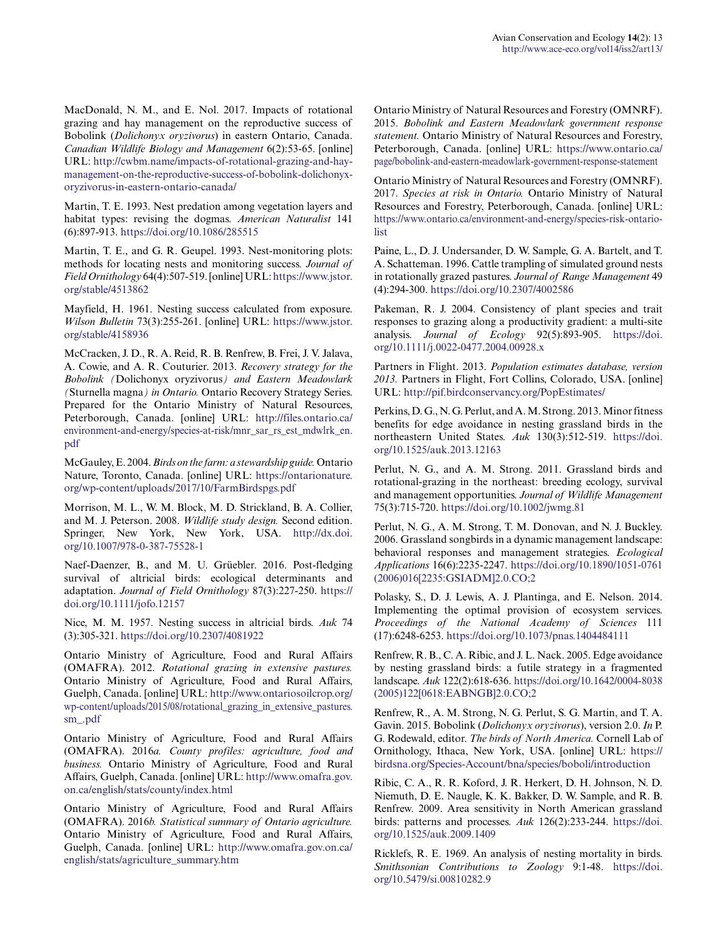MacDonald, N. M., and E. Nol. 2017. Impacts of rotational grazing and hay management on the reproductive success of Bobolink (*Dolichonyx oryzivorus*) in eastern Ontario, Canada. *Canadian Wildlife Biology and Management* 6(2):53-65. [online] URL: [http://cwbm.name/impacts-of-rotational-grazing-and-hay](http://cwbm.name/impacts-of-rotational-grazing-and-hay-management-on-the-reproductive-success-of-bobolink-dolichonyx-oryzivorus-in-eastern-ontario-canada/)[management-on-the-reproductive-success-of-bobolink-dolichonyx](http://cwbm.name/impacts-of-rotational-grazing-and-hay-management-on-the-reproductive-success-of-bobolink-dolichonyx-oryzivorus-in-eastern-ontario-canada/)[oryzivorus-in-eastern-ontario-canada/](http://cwbm.name/impacts-of-rotational-grazing-and-hay-management-on-the-reproductive-success-of-bobolink-dolichonyx-oryzivorus-in-eastern-ontario-canada/)

Martin, T. E. 1993. Nest predation among vegetation layers and habitat types: revising the dogmas. *American Naturalist* 141 (6):897-913. <https://doi.org/10.1086/285515>

Martin, T. E., and G. R. Geupel. 1993. Nest-monitoring plots: methods for locating nests and monitoring success. *Journal of Field Ornithology* 64(4):507-519. [online] URL: [https://www.jstor.](https://www.jstor.org/stable/4513862) [org/stable/4513862](https://www.jstor.org/stable/4513862)

Mayfield, H. 1961. Nesting success calculated from exposure. *Wilson Bulletin* 73(3):255-261. [online] URL: [https://www.jstor.](https://www.jstor.org/stable/4158936) [org/stable/4158936](https://www.jstor.org/stable/4158936)

McCracken, J. D., R. A. Reid, R. B. Renfrew, B. Frei, J. V. Jalava, A. Cowie, and A. R. Couturier. 2013. *Recovery strategy for the Bobolink (*Dolichonyx oryzivorus*) and Eastern Meadowlark (*Sturnella magna*) in Ontario.* Ontario Recovery Strategy Series. Prepared for the Ontario Ministry of Natural Resources, Peterborough, Canada. [online] URL: [http://files.ontario.ca/](http://files.ontario.ca/environment-and-energy/species-at-risk/mnr_sar_rs_est_mdwlrk_en.pdf) [environment-and-energy/species-at-risk/mnr\\_sar\\_rs\\_est\\_mdwlrk\\_en.](http://files.ontario.ca/environment-and-energy/species-at-risk/mnr_sar_rs_est_mdwlrk_en.pdf) [pdf](http://files.ontario.ca/environment-and-energy/species-at-risk/mnr_sar_rs_est_mdwlrk_en.pdf)

McGauley, E. 2004. *Birds on the farm: a stewardship guide.* Ontario Nature, Toronto, Canada. [online] URL: [https://ontarionature.](https://ontarionature.org/wp-content/uploads/2017/10/FarmBirdspgs.pdf) [org/wp-content/uploads/2017/10/FarmBirdspgs.pdf](https://ontarionature.org/wp-content/uploads/2017/10/FarmBirdspgs.pdf)

Morrison, M. L., W. M. Block, M. D. Strickland, B. A. Collier, and M. J. Peterson. 2008. *Wildlife study design.* Second edition. Springer, New York, New York, USA. [http://dx.doi.](http://dx.doi.org/10.1007/978-0-387-75528-1) [org/10.1007/978-0-387-75528-1](http://dx.doi.org/10.1007/978-0-387-75528-1) 

Naef-Daenzer, B., and M. U. Grüebler. 2016. Post-fledging survival of altricial birds: ecological determinants and adaptation. *Journal of Field Ornithology* 87(3):227-250. [https://](https://doi.org/10.1111/jofo.12157) [doi.org/10.1111/jofo.12157](https://doi.org/10.1111/jofo.12157) 

Nice, M. M. 1957. Nesting success in altricial birds. *Auk* 74 (3):305-321. <https://doi.org/10.2307/4081922>

Ontario Ministry of Agriculture, Food and Rural Affairs (OMAFRA). 2012. *Rotational grazing in extensive pastures.* Ontario Ministry of Agriculture, Food and Rural Affairs, Guelph, Canada. [online] URL: [http://www.ontariosoilcrop.org/](http://www.ontariosoilcrop.org/wp-content/uploads/2015/08/rotational_grazing_in_extensive_pastures.sm_.pdf) [wp-content/uploads/2015/08/rotational\\_grazing\\_in\\_extensive\\_pastures.](http://www.ontariosoilcrop.org/wp-content/uploads/2015/08/rotational_grazing_in_extensive_pastures.sm_.pdf) [sm\\_.pdf](http://www.ontariosoilcrop.org/wp-content/uploads/2015/08/rotational_grazing_in_extensive_pastures.sm_.pdf)

Ontario Ministry of Agriculture, Food and Rural Affairs (OMAFRA). 2016*a. County profiles: agriculture, food and business.* Ontario Ministry of Agriculture, Food and Rural Affairs, Guelph, Canada. [online] URL: [http://www.omafra.gov.](http://www.omafra.gov.on.ca/english/stats/county/index.html) [on.ca/english/stats/county/index.html](http://www.omafra.gov.on.ca/english/stats/county/index.html)

Ontario Ministry of Agriculture, Food and Rural Affairs (OMAFRA). 2016*b. Statistical summary of Ontario agriculture.* Ontario Ministry of Agriculture, Food and Rural Affairs, Guelph, Canada. [online] URL: [http://www.omafra.gov.on.ca/](http://www.omafra.gov.on.ca/english/stats/agriculture_summary.htm) [english/stats/agriculture\\_summary.htm](http://www.omafra.gov.on.ca/english/stats/agriculture_summary.htm)

Ontario Ministry of Natural Resources and Forestry (OMNRF). 2015. *Bobolink and Eastern Meadowlark government response statement.* Ontario Ministry of Natural Resources and Forestry, Peterborough, Canada. [online] URL: [https://www.ontario.ca/](https://www.ontario.ca/page/bobolink-and-eastern-meadowlark-government-response-statement) [page/bobolink-and-eastern-meadowlark-government-response-statement](https://www.ontario.ca/page/bobolink-and-eastern-meadowlark-government-response-statement)

Ontario Ministry of Natural Resources and Forestry (OMNRF). 2017. *Species at risk in Ontario.* Ontario Ministry of Natural Resources and Forestry, Peterborough, Canada. [online] URL: [https://www.ontario.ca/environment-and-energy/species-risk-ontario](https://www.ontario.ca/environment-and-energy/species-risk-ontario-list)[list](https://www.ontario.ca/environment-and-energy/species-risk-ontario-list)

Paine, L., D. J. Undersander, D. W. Sample, G. A. Bartelt, and T. A. Schatteman. 1996. Cattle trampling of simulated ground nests in rotationally grazed pastures. *Journal of Range Management* 49 (4):294-300. <https://doi.org/10.2307/4002586>

Pakeman, R. J. 2004. Consistency of plant species and trait responses to grazing along a productivity gradient: a multi-site analysis. *Journal of Ecology* 92(5):893-905. [https://doi.](https://doi.org/10.1111/j.0022-0477.2004.00928.x) [org/10.1111/j.0022-0477.2004.00928.x](https://doi.org/10.1111/j.0022-0477.2004.00928.x)

Partners in Flight. 2013. *Population estimates database, version 2013.* Partners in Flight, Fort Collins, Colorado, USA. [online] URL:<http://pif.birdconservancy.org/PopEstimates/>

Perkins, D. G., N. G. Perlut, and A. M. Strong. 2013. Minor fitness benefits for edge avoidance in nesting grassland birds in the northeastern United States. *Auk* 130(3):512-519. [https://doi.](https://doi.org/10.1525/auk.2013.12163) [org/10.1525/auk.2013.12163](https://doi.org/10.1525/auk.2013.12163)

Perlut, N. G., and A. M. Strong. 2011. Grassland birds and rotational-grazing in the northeast: breeding ecology, survival and management opportunities. *Journal of Wildlife Management* 75(3):715-720. <https://doi.org/10.1002/jwmg.81>

Perlut, N. G., A. M. Strong, T. M. Donovan, and N. J. Buckley. 2006. Grassland songbirds in a dynamic management landscape: behavioral responses and management strategies. *Ecological Applications* 16(6):2235-2247. [https://doi.org/10.1890/1051-0761](https://doi.org/10.1890/1051-0761(2006)016[2235:GSIADM]2.0.CO;2) [\(2006\)016\[2235:GSIADM\]2.0.CO;2](https://doi.org/10.1890/1051-0761(2006)016[2235:GSIADM]2.0.CO;2)

Polasky, S., D. J. Lewis, A. J. Plantinga, and E. Nelson. 2014. Implementing the optimal provision of ecosystem services. *Proceedings of the National Academy of Sciences* 111 (17):6248-6253.<https://doi.org/10.1073/pnas.1404484111>

Renfrew, R. B., C. A. Ribic, and J. L. Nack. 2005. Edge avoidance by nesting grassland birds: a futile strategy in a fragmented landscape. *Auk* 122(2):618-636. [https://doi.org/10.1642/0004-8038](https://doi.org/10.1642/0004-8038(2005)122[0618:EABNGB]2.0.CO;2) [\(2005\)122\[0618:EABNGB\]2.0.CO;2](https://doi.org/10.1642/0004-8038(2005)122[0618:EABNGB]2.0.CO;2) 

Renfrew, R., A. M. Strong, N. G. Perlut, S. G. Martin, and T. A. Gavin. 2015. Bobolink (*Dolichonyx oryzivorus*), version 2.0. *In* P. G. Rodewald, editor. *The birds of North America.* Cornell Lab of Ornithology, Ithaca, New York, USA. [online] URL: [https://](https://birdsna.org/Species-Account/bna/species/boboli/introduction) [birdsna.org/Species-Account/bna/species/boboli/introduction](https://birdsna.org/Species-Account/bna/species/boboli/introduction) 

Ribic, C. A., R. R. Koford, J. R. Herkert, D. H. Johnson, N. D. Niemuth, D. E. Naugle, K. K. Bakker, D. W. Sample, and R. B. Renfrew. 2009. Area sensitivity in North American grassland birds: patterns and processes. *Auk* 126(2):233-244. [https://doi.](https://doi.org/10.1525/auk.2009.1409) [org/10.1525/auk.2009.1409](https://doi.org/10.1525/auk.2009.1409) 

Ricklefs, R. E. 1969. An analysis of nesting mortality in birds. *Smithsonian Contributions to Zoology* 9:1-48. [https://doi.](https://doi.org/10.5479/si.00810282.9) [org/10.5479/si.00810282.9](https://doi.org/10.5479/si.00810282.9)